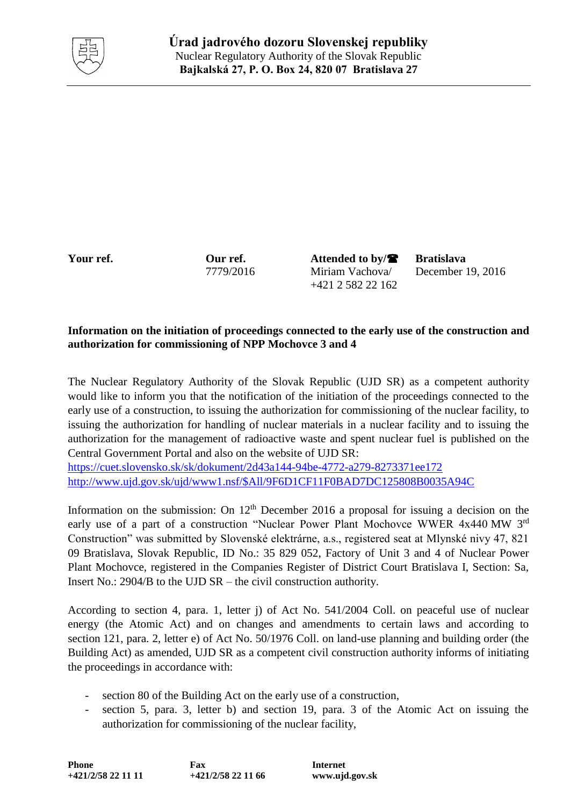

Your ref. **Our ref.** Attended to by/ $\bullet$  Bratislava 7779/2016 Miriam Vachova/ +421 2 582 22 162

December 19, 2016

## **Information on the initiation of proceedings connected to the early use of the construction and authorization for commissioning of NPP Mochovce 3 and 4**

The Nuclear Regulatory Authority of the Slovak Republic (UJD SR) as a competent authority would like to inform you that the notification of the initiation of the proceedings connected to the early use of a construction, to issuing the authorization for commissioning of the nuclear facility, to issuing the authorization for handling of nuclear materials in a nuclear facility and to issuing the authorization for the management of radioactive waste and spent nuclear fuel is published on the Central Government Portal and also on the website of UJD SR:

<https://cuet.slovensko.sk/sk/dokument/2d43a144-94be-4772-a279-8273371ee172> [http://www.ujd.gov.sk/ujd/www1.nsf/\\$All/9F6D1CF11F0BAD7DC125808B0035A94C](http://www.ujd.gov.sk/ujd/www1.nsf/$All/9F6D1CF11F0BAD7DC125808B0035A94C)

Information on the submission: On  $12<sup>th</sup>$  December 2016 a proposal for issuing a decision on the early use of a part of a construction "Nuclear Power Plant Mochovce WWER 4x440 MW 3rd Construction" was submitted by Slovenské elektrárne, a.s., registered seat at Mlynské nivy 47, 821 09 Bratislava, Slovak Republic, ID No.: 35 829 052, Factory of Unit 3 and 4 of Nuclear Power Plant Mochovce, registered in the Companies Register of District Court Bratislava I, Section: Sa, Insert No.: 2904/B to the UJD SR – the civil construction authority.

According to section 4, para. 1, letter j) of Act No. 541/2004 Coll. on peaceful use of nuclear energy (the Atomic Act) and on changes and amendments to certain laws and according to section 121, para. 2, letter e) of Act No. 50/1976 Coll. on land-use planning and building order (the Building Act) as amended, UJD SR as a competent civil construction authority informs of initiating the proceedings in accordance with:

- section 80 of the Building Act on the early use of a construction,
- section 5, para. 3, letter b) and section 19, para. 3 of the Atomic Act on issuing the authorization for commissioning of the nuclear facility,